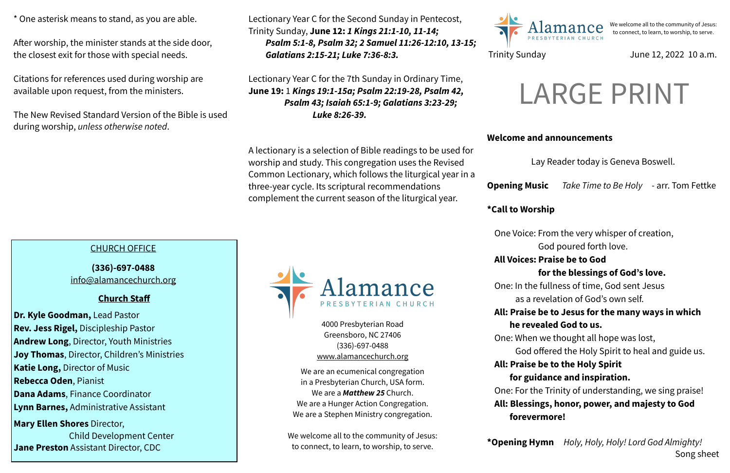### **Welcome and announcements**

Lay Reader today is Geneva Boswell.

**Opening Music** *Take Time to Be Holy* - arr. Tom Fettke

**\*Call to Worship** 

- One Voice: From the very whisper of creation,
	- God poured forth love.
- **All Voices: Praise be to God** 
	- **for the blessings of God's love.**
- One: In the fullness of time, God sent Jesus as a revelation of God's own self.
- **All: Praise be to Jesus for the many ways in which he revealed God to us.**
- One: When we thought all hope was lost,
- God offered the Holy Spirit to heal and guide us. **All: Praise be to the Holy Spirit** 
	- **for guidance and inspiration.**
- One: For the Trinity of understanding, we sing praise! **All: Blessings, honor, power, and majesty to God forevermore!**

**\*Opening Hymn** *Holy, Holy, Holy! Lord God Almighty!*  Song sheet

4000 Presbyterian Road Greensboro, NC 27406 (336)-697-0488 [www.alamancechurch.org](http://www.alamancechurch.org)

We are an ecumenical congregation in a Presbyterian Church, USA form. We are a *Matthew 25* Church. We are a Hunger Action Congregation. We are a Stephen Ministry congregation.

We welcome all to the community of Jesus: to connect, to learn, to worship, to serve.



\* One asterisk means to stand, as you are able.

After worship, the minister stands at the side door, the closest exit for those with special needs.

Citations for references used during worship are available upon request, from the ministers.

The New Revised Standard Version of the Bible is used during worship, *unless otherwise noted*.

We welcome all to the community of Jesus: to connect, to learn, to worship, to serve.

## Trinity Sunday **June 12, 2022 10 a.m.**

# CHURCH OFFICE

**(336)-697-0488**  [info@alamancechurch.org](mailto:info@alamancechurch.org)

## **Church Staff**

**Dr. Kyle Goodman,** Lead Pastor **Rev. Jess Rigel,** Discipleship Pastor **Andrew Long**, Director, Youth Ministries **Joy Thomas**, Director, Children's Ministries **Katie Long,** Director of Music **Rebecca Oden**, Pianist **Dana Adams**, Finance Coordinator **Lynn Barnes,** Administrative Assistant **Mary Ellen Shores** Director, Child Development Center

**Jane Preston** Assistant Director, CDC

Lectionary Year C for the Second Sunday in Pentecost, Trinity Sunday, **June 12:** *1 Kings 21:1-10, 11-14; Psalm 5:1-8, Psalm 32; 2 Samuel 11:26-12:10, 13-15; Galatians 2:15-21; Luke 7:36-8:3.*

Lectionary Year C for the 7th Sunday in Ordinary Time, **June 19:** 1 *Kings 19:1-15a; Psalm 22:19-28, Psalm 42, Psalm 43; Isaiah 65:1-9; Galatians 3:23-29; Luke 8:26-39.*

A lectionary is a selection of Bible readings to be used for worship and study. This congregation uses the Revised Common Lectionary, which follows the liturgical year in a three-year cycle. Its scriptural recommendations complement the current season of the liturgical year.



# LARGE PRINT